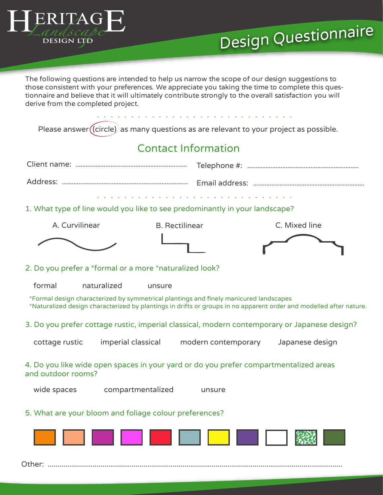

The following questions are intended to help us narrow the scope of our design suggestions to those consistent with your preferences. We appreciate you taking the time to complete this questionnaire and believe that it will ultimately contribute strongly to the overall satisfaction you will derive from the completed project.

Please answer $\left(\text{(circle)}\right)$  as many questions as are relevant to your project as possible.

## Contact Information

| 1. What type of line would you like to see predominantly in your landscape?                                                                                                                                 |                       |                 |  |
|-------------------------------------------------------------------------------------------------------------------------------------------------------------------------------------------------------------|-----------------------|-----------------|--|
| A. Curvilinear                                                                                                                                                                                              | <b>B.</b> Rectilinear | C. Mixed line   |  |
|                                                                                                                                                                                                             |                       |                 |  |
| 2. Do you prefer a *formal or a more *naturalized look?                                                                                                                                                     |                       |                 |  |
| formal<br>naturalized<br>unsure                                                                                                                                                                             |                       |                 |  |
| *Formal design characterized by symmetrical plantings and finely manicured landscapes<br>*Naturalized design characterized by plantings in drifts or groups in no apparent order and modelled after nature. |                       |                 |  |
| 3. Do you prefer cottage rustic, imperial classical, modern contemporary or Japanese design?                                                                                                                |                       |                 |  |
| imperial classical<br>cottage rustic                                                                                                                                                                        | modern contemporary   | Japanese design |  |
| 4. Do you like wide open spaces in your yard or do you prefer compartmentalized areas<br>and outdoor rooms?                                                                                                 |                       |                 |  |
| compartmentalized<br>wide spaces                                                                                                                                                                            | unsure                |                 |  |
| 5. What are your bloom and foliage colour preferences?                                                                                                                                                      |                       |                 |  |



Other: .......................................................................................................................................................